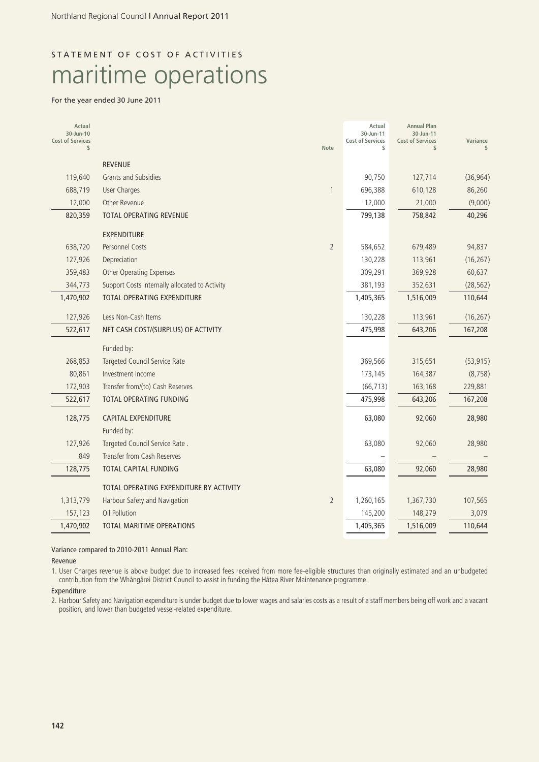# STATEMENT OF COST OF ACTIVITIES maritime operations

### For the year ended 30 June 2011

| Actual<br>30-Jun-10<br><b>Cost of Services</b><br>\$ |                                                | <b>Note</b>    | Actual<br>30-Jun-11<br><b>Cost of Services</b><br>\$ | <b>Annual Plan</b><br>30-Jun-11<br><b>Cost of Services</b><br>\$ | Variance  |
|------------------------------------------------------|------------------------------------------------|----------------|------------------------------------------------------|------------------------------------------------------------------|-----------|
|                                                      | <b>REVENUE</b>                                 |                |                                                      |                                                                  |           |
| 119,640                                              | Grants and Subsidies                           |                | 90,750                                               | 127,714                                                          | (36, 964) |
| 688,719                                              | <b>User Charges</b>                            | 1              | 696,388                                              | 610,128                                                          | 86,260    |
| 12,000                                               | Other Revenue                                  |                | 12,000                                               | 21,000                                                           | (9,000)   |
| 820,359                                              | TOTAL OPERATING REVENUE                        |                | 799,138                                              | 758,842                                                          | 40,296    |
|                                                      | <b>EXPENDITURE</b>                             |                |                                                      |                                                                  |           |
| 638,720                                              | Personnel Costs                                | $\overline{2}$ | 584,652                                              | 679,489                                                          | 94,837    |
| 127,926                                              | Depreciation                                   |                | 130,228                                              | 113,961                                                          | (16, 267) |
| 359,483                                              | <b>Other Operating Expenses</b>                |                | 309,291                                              | 369,928                                                          | 60,637    |
| 344,773                                              | Support Costs internally allocated to Activity |                | 381,193                                              | 352,631                                                          | (28, 562) |
| 1,470,902                                            | TOTAL OPERATING EXPENDITURE                    |                | 1,405,365                                            | 1,516,009                                                        | 110,644   |
| 127,926                                              | Less Non-Cash Items                            |                | 130,228                                              | 113,961                                                          | (16, 267) |
| 522,617                                              | NET CASH COST/(SURPLUS) OF ACTIVITY            |                | 475,998                                              | 643,206                                                          | 167,208   |
|                                                      | Funded by:                                     |                |                                                      |                                                                  |           |
| 268,853                                              | Targeted Council Service Rate                  |                | 369,566                                              | 315,651                                                          | (53, 915) |
| 80,861                                               | Investment Income                              |                | 173,145                                              | 164,387                                                          | (8, 758)  |
| 172,903                                              | Transfer from/(to) Cash Reserves               |                | (66, 713)                                            | 163,168                                                          | 229,881   |
| 522,617                                              | TOTAL OPERATING FUNDING                        |                | 475,998                                              | 643,206                                                          | 167,208   |
| 128,775                                              | <b>CAPITAL EXPENDITURE</b>                     |                | 63,080                                               | 92,060                                                           | 28,980    |
|                                                      | Funded by:                                     |                |                                                      |                                                                  |           |
| 127,926                                              | Targeted Council Service Rate.                 |                | 63,080                                               | 92,060                                                           | 28,980    |
| 849                                                  | Transfer from Cash Reserves                    |                |                                                      |                                                                  |           |
| 128,775                                              | TOTAL CAPITAL FUNDING                          |                | 63,080                                               | 92,060                                                           | 28,980    |
|                                                      | TOTAL OPERATING EXPENDITURE BY ACTIVITY        |                |                                                      |                                                                  |           |
| 1,313,779                                            | Harbour Safety and Navigation                  | $\overline{2}$ | 1,260,165                                            | 1,367,730                                                        | 107,565   |
| 157,123                                              | Oil Pollution                                  |                | 145,200                                              | 148,279                                                          | 3,079     |
| 1,470,902                                            | TOTAL MARITIME OPERATIONS                      |                | 1,405,365                                            | 1,516,009                                                        | 110,644   |

### Variance compared to 2010-2011 Annual Plan:

Revenue

1. User Charges revenue is above budget due to increased fees received from more fee-eligible structures than originally estimated and an unbudgeted contribution from the Whängärei District Council to assist in funding the Hätea River Maintenance programme.

Expenditure

2. Harbour Safety and Navigation expenditure is under budget due to lower wages and salaries costs as a result of a staff members being off work and a vacant position, and lower than budgeted vessel-related expenditure.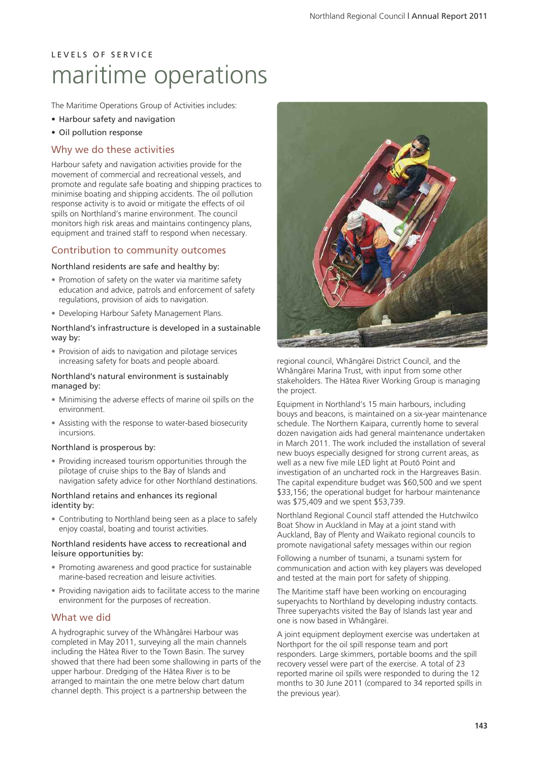# L E V E L S O F S E R V I C E maritime operations

The Maritime Operations Group of Activities includes:

- Harbour safety and navigation
- Oil pollution response

### Why we do these activities

Harbour safety and navigation activities provide for the movement of commercial and recreational vessels, and promote and regulate safe boating and shipping practices to minimise boating and shipping accidents. The oil pollution response activity is to avoid or mitigate the effects of oil spills on Northland's marine environment. The council monitors high risk areas and maintains contingency plans, equipment and trained staff to respond when necessary.

## Contribution to community outcomes

### Northland residents are safe and healthy by:

- Promotion of safety on the water via maritime safety education and advice, patrols and enforcement of safety regulations, provision of aids to navigation.
- Developing Harbour Safety Management Plans.

### Northland's infrastructure is developed in a sustainable way by:

• Provision of aids to navigation and pilotage services increasing safety for boats and people aboard.

### Northland's natural environment is sustainably managed by:

- Minimising the adverse effects of marine oil spills on the environment.
- Assisting with the response to water-based biosecurity incursions.

#### Northland is prosperous by:

• Providing increased tourism opportunities through the pilotage of cruise ships to the Bay of Islands and navigation safety advice for other Northland destinations.

#### Northland retains and enhances its regional identity by:

• Contributing to Northland being seen as a place to safely enjoy coastal, boating and tourist activities.

#### Northland residents have access to recreational and leisure opportunities by:

- Promoting awareness and good practice for sustainable marine-based recreation and leisure activities.
- Providing navigation aids to facilitate access to the marine environment for the purposes of recreation.

## What we did

A hydrographic survey of the Whängärei Harbour was completed in May 2011, surveying all the main channels including the Hätea River to the Town Basin. The survey showed that there had been some shallowing in parts of the upper harbour. Dredging of the Hätea River is to be arranged to maintain the one metre below chart datum channel depth. This project is a partnership between the



regional council, Whängärei District Council, and the Whängärei Marina Trust, with input from some other stakeholders. The Hätea River Working Group is managing the project.

Equipment in Northland's 15 main harbours, including bouys and beacons, is maintained on a six-year maintenance schedule. The Northern Kaipara, currently home to several dozen navigation aids had general maintenance undertaken in March 2011. The work included the installation of several new buoys especially designed for strong current areas, as well as a new five mile LED light at Poutö Point and investigation of an uncharted rock in the Hargreaves Basin. The capital expenditure budget was \$60,500 and we spent \$33,156; the operational budget for harbour maintenance was \$75,409 and we spent \$53,739.

Northland Regional Council staff attended the Hutchwilco Boat Show in Auckland in May at a joint stand with Auckland, Bay of Plenty and Waikato regional councils to promote navigational safety messages within our region

Following a number of tsunami, a tsunami system for communication and action with key players was developed and tested at the main port for safety of shipping.

The Maritime staff have been working on encouraging superyachts to Northland by developing industry contacts. Three superyachts visited the Bay of Islands last year and one is now based in Whängärei.

A joint equipment deployment exercise was undertaken at Northport for the oil spill response team and port responders. Large skimmers, portable booms and the spill recovery vessel were part of the exercise. A total of 23 reported marine oil spills were responded to during the 12 months to 30 June 2011 (compared to 34 reported spills in the previous year).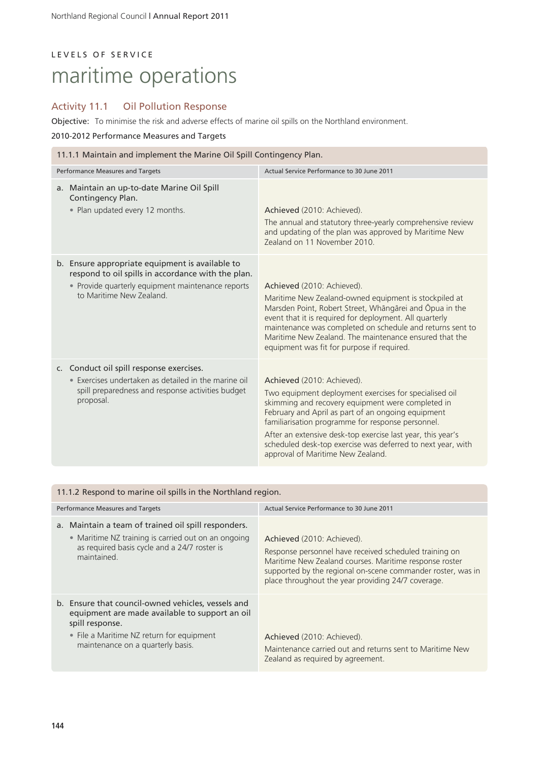# LEVELS OF SERVICE maritime operations

## Activity 11.1 Oil Pollution Response

Objective: To minimise the risk and adverse effects of marine oil spills on the Northland environment.

### 2010-2012 Performance Measures and Targets

| 11.1.1 Maintain and implement the Marine Oil Spill Contingency Plan.                                                                                                                  |                                                                                                                                                                                                                                                                                                                                                                                                                         |  |  |
|---------------------------------------------------------------------------------------------------------------------------------------------------------------------------------------|-------------------------------------------------------------------------------------------------------------------------------------------------------------------------------------------------------------------------------------------------------------------------------------------------------------------------------------------------------------------------------------------------------------------------|--|--|
| Performance Measures and Targets                                                                                                                                                      | Actual Service Performance to 30 June 2011                                                                                                                                                                                                                                                                                                                                                                              |  |  |
| a. Maintain an up-to-date Marine Oil Spill<br>Contingency Plan.<br>• Plan updated every 12 months.                                                                                    | Achieved (2010: Achieved).<br>The annual and statutory three-yearly comprehensive review<br>and updating of the plan was approved by Maritime New<br>Zealand on 11 November 2010                                                                                                                                                                                                                                        |  |  |
| b. Ensure appropriate equipment is available to<br>respond to oil spills in accordance with the plan.<br>• Provide quarterly equipment maintenance reports<br>to Maritime New Zealand | Achieved (2010: Achieved).<br>Maritime New Zealand-owned equipment is stockpiled at<br>Marsden Point, Robert Street, Whāngārei and Ōpua in the<br>event that it is required for deployment. All quarterly<br>maintenance was completed on schedule and returns sent to<br>Maritime New Zealand. The maintenance ensured that the<br>equipment was fit for purpose if required.                                          |  |  |
| c. Conduct oil spill response exercises.<br>• Exercises undertaken as detailed in the marine oil<br>spill preparedness and response activities budget<br>proposal.                    | Achieved (2010: Achieved).<br>Two equipment deployment exercises for specialised oil<br>skimming and recovery equipment were completed in<br>February and April as part of an ongoing equipment<br>familiarisation programme for response personnel.<br>After an extensive desk-top exercise last year, this year's<br>scheduled desk-top exercise was deferred to next year, with<br>approval of Maritime New Zealand. |  |  |

| 11.1.2 Respond to marine oil spills in the Northland region.                                                                                                                                              |                                                                                                                                                                                                                                                                     |  |  |
|-----------------------------------------------------------------------------------------------------------------------------------------------------------------------------------------------------------|---------------------------------------------------------------------------------------------------------------------------------------------------------------------------------------------------------------------------------------------------------------------|--|--|
| Performance Measures and Targets                                                                                                                                                                          | Actual Service Performance to 30 June 2011                                                                                                                                                                                                                          |  |  |
| a. Maintain a team of trained oil spill responders.<br>• Maritime NZ training is carried out on an ongoing<br>as required basis cycle and a 24/7 roster is<br>maintained.                                 | Achieved (2010: Achieved).<br>Response personnel have received scheduled training on<br>Maritime New Zealand courses. Maritime response roster<br>supported by the regional on-scene commander roster, was in<br>place throughout the year providing 24/7 coverage. |  |  |
| b. Ensure that council-owned vehicles, vessels and<br>equipment are made available to support an oil<br>spill response.<br>• File a Maritime NZ return for equipment<br>maintenance on a quarterly basis. | Achieved (2010: Achieved).<br>Maintenance carried out and returns sent to Maritime New<br>Zealand as required by agreement.                                                                                                                                         |  |  |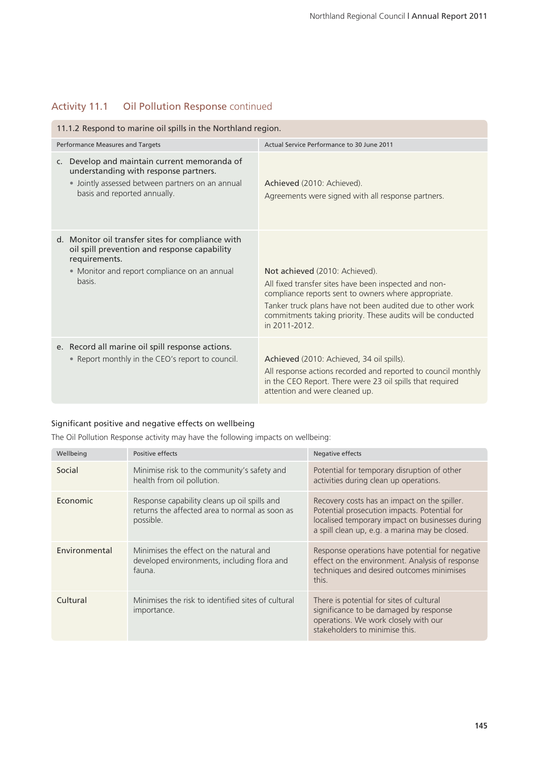## Activity 11.1 Oil Pollution Response continued

| 11.1.2 Respond to marine oil spills in the Northland region.                                                                                                                             |                                                                                                                                                                                                                                                                                              |  |  |
|------------------------------------------------------------------------------------------------------------------------------------------------------------------------------------------|----------------------------------------------------------------------------------------------------------------------------------------------------------------------------------------------------------------------------------------------------------------------------------------------|--|--|
| Performance Measures and Targets                                                                                                                                                         | Actual Service Performance to 30 June 2011                                                                                                                                                                                                                                                   |  |  |
| Develop and maintain current memoranda of<br>$\mathsf{C}$ .<br>understanding with response partners.<br>• Jointly assessed between partners on an annual<br>basis and reported annually. | Achieved (2010: Achieved).<br>Agreements were signed with all response partners.                                                                                                                                                                                                             |  |  |
| d. Monitor oil transfer sites for compliance with<br>oil spill prevention and response capability<br>requirements.<br>• Monitor and report compliance on an annual<br>basis.             | Not achieved (2010: Achieved).<br>All fixed transfer sites have been inspected and non-<br>compliance reports sent to owners where appropriate.<br>Tanker truck plans have not been audited due to other work<br>commitments taking priority. These audits will be conducted<br>in 2011-2012 |  |  |
| e. Record all marine oil spill response actions.<br>• Report monthly in the CEO's report to council.                                                                                     | Achieved (2010: Achieved, 34 oil spills).<br>All response actions recorded and reported to council monthly<br>in the CEO Report. There were 23 oil spills that required<br>attention and were cleaned up.                                                                                    |  |  |

## Significant positive and negative effects on wellbeing

The Oil Pollution Response activity may have the following impacts on wellbeing:

| Wellbeing     | Positive effects                                                                                            | Negative effects                                                                                                                                                                                  |
|---------------|-------------------------------------------------------------------------------------------------------------|---------------------------------------------------------------------------------------------------------------------------------------------------------------------------------------------------|
| Social        | Minimise risk to the community's safety and<br>health from oil pollution.                                   | Potential for temporary disruption of other<br>activities during clean up operations.                                                                                                             |
| Economic      | Response capability cleans up oil spills and<br>returns the affected area to normal as soon as<br>possible. | Recovery costs has an impact on the spiller.<br>Potential prosecution impacts. Potential for<br>localised temporary impact on businesses during<br>a spill clean up, e.g. a marina may be closed. |
| Environmental | Minimises the effect on the natural and<br>developed environments, including flora and<br>fauna.            | Response operations have potential for negative<br>effect on the environment. Analysis of response<br>techniques and desired outcomes minimises<br>this.                                          |
| Cultural      | Minimises the risk to identified sites of cultural<br>importance.                                           | There is potential for sites of cultural<br>significance to be damaged by response<br>operations. We work closely with our<br>stakeholders to minimise this.                                      |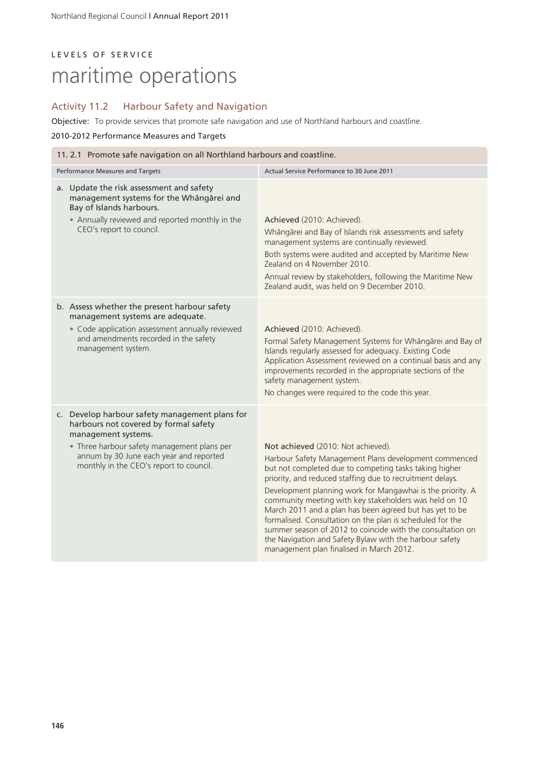# LEVELS OF SERVICE maritime operations

## Activity 11.2 Harbour Safety and Navigation

Objective: To provide services that promote safe navigation and use of Northland harbours and coastline.

### 2010-2012 Performance Measures and Targets

| 11. 2.1 Promote safe navigation on all Northland harbours and coastline.                                                                                                                                                                            |                                                                                                                                                                                                                                                                                                                                                                                                                                                                                                                                                                                                                                         |  |  |
|-----------------------------------------------------------------------------------------------------------------------------------------------------------------------------------------------------------------------------------------------------|-----------------------------------------------------------------------------------------------------------------------------------------------------------------------------------------------------------------------------------------------------------------------------------------------------------------------------------------------------------------------------------------------------------------------------------------------------------------------------------------------------------------------------------------------------------------------------------------------------------------------------------------|--|--|
| Performance Measures and Targets                                                                                                                                                                                                                    | Actual Service Performance to 30 June 2011                                                                                                                                                                                                                                                                                                                                                                                                                                                                                                                                                                                              |  |  |
| a. Update the risk assessment and safety<br>management systems for the Whāngārei and<br>Bay of Islands harbours.<br>• Annually reviewed and reported monthly in the<br>CEO's report to council.                                                     | Achieved (2010: Achieved).<br>Whāngārei and Bay of Islands risk assessments and safety<br>management systems are continually reviewed.<br>Both systems were audited and accepted by Maritime New<br>Zealand on 4 November 2010.<br>Annual review by stakeholders, following the Maritime New<br>Zealand audit, was held on 9 December 2010.                                                                                                                                                                                                                                                                                             |  |  |
| b. Assess whether the present harbour safety<br>management systems are adequate.<br>• Code application assessment annually reviewed<br>and amendments recorded in the safety<br>management system.                                                  | Achieved (2010: Achieved).<br>Formal Safety Management Systems for Whāngārei and Bay of<br>Islands regularly assessed for adequacy. Existing Code<br>Application Assessment reviewed on a continual basis and any<br>improvements recorded in the appropriate sections of the<br>safety management system.<br>No changes were required to the code this year.                                                                                                                                                                                                                                                                           |  |  |
| c. Develop harbour safety management plans for<br>harbours not covered by formal safety<br>management systems.<br>• Three harbour safety management plans per<br>annum by 30 June each year and reported<br>monthly in the CEO's report to council. | Not achieved (2010: Not achieved).<br>Harbour Safety Management Plans development commenced<br>but not completed due to competing tasks taking higher<br>priority, and reduced staffing due to recruitment delays.<br>Development planning work for Mangawhai is the priority. A<br>community meeting with key stakeholders was held on 10<br>March 2011 and a plan has been agreed but has yet to be<br>formalised. Consultation on the plan is scheduled for the<br>summer season of 2012 to coincide with the consultation on<br>the Navigation and Safety Bylaw with the harbour safety<br>management plan finalised in March 2012. |  |  |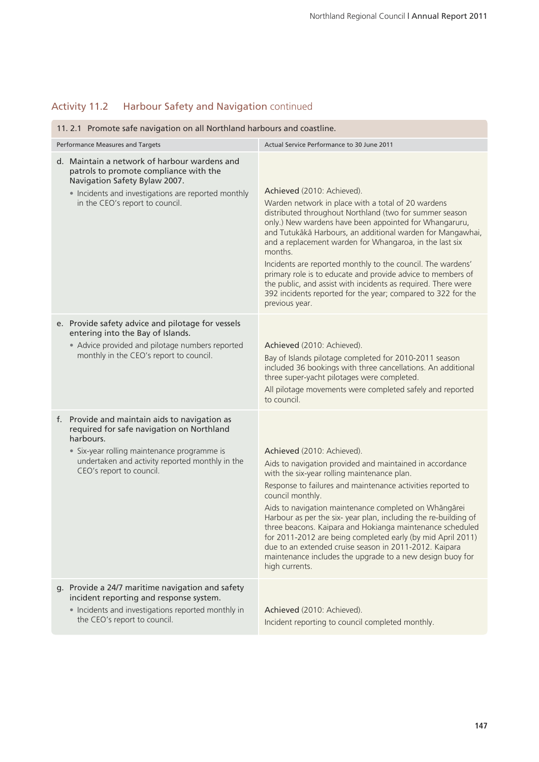# Activity 11.2 Harbour Safety and Navigation continued

| 11. 2.1 Promote safe navigation on all Northland harbours and coastline.                                                                                                                                                              |                                                                                                                                                                                                                                                                                                                                                                                                                                                                                                                                                                                                                           |  |  |
|---------------------------------------------------------------------------------------------------------------------------------------------------------------------------------------------------------------------------------------|---------------------------------------------------------------------------------------------------------------------------------------------------------------------------------------------------------------------------------------------------------------------------------------------------------------------------------------------------------------------------------------------------------------------------------------------------------------------------------------------------------------------------------------------------------------------------------------------------------------------------|--|--|
| Performance Measures and Targets                                                                                                                                                                                                      | Actual Service Performance to 30 June 2011                                                                                                                                                                                                                                                                                                                                                                                                                                                                                                                                                                                |  |  |
| d. Maintain a network of harbour wardens and<br>patrols to promote compliance with the<br>Navigation Safety Bylaw 2007.<br>• Incidents and investigations are reported monthly<br>in the CEO's report to council.                     | Achieved (2010: Achieved).<br>Warden network in place with a total of 20 wardens<br>distributed throughout Northland (two for summer season<br>only.) New wardens have been appointed for Whangaruru,<br>and Tutukākā Harbours, an additional warden for Mangawhai,<br>and a replacement warden for Whangaroa, in the last six<br>months<br>Incidents are reported monthly to the council. The wardens'<br>primary role is to educate and provide advice to members of<br>the public, and assist with incidents as required. There were<br>392 incidents reported for the year; compared to 322 for the<br>previous year. |  |  |
| e. Provide safety advice and pilotage for vessels<br>entering into the Bay of Islands.<br>• Advice provided and pilotage numbers reported<br>monthly in the CEO's report to council.                                                  | Achieved (2010: Achieved).<br>Bay of Islands pilotage completed for 2010-2011 season<br>included 36 bookings with three cancellations. An additional<br>three super-yacht pilotages were completed.<br>All pilotage movements were completed safely and reported<br>to council.                                                                                                                                                                                                                                                                                                                                           |  |  |
| f. Provide and maintain aids to navigation as<br>required for safe navigation on Northland<br>harbours.<br>• Six-year rolling maintenance programme is<br>undertaken and activity reported monthly in the<br>CEO's report to council. | Achieved (2010: Achieved).<br>Aids to navigation provided and maintained in accordance<br>with the six-year rolling maintenance plan.<br>Response to failures and maintenance activities reported to<br>council monthly.<br>Aids to navigation maintenance completed on Whāngārei<br>Harbour as per the six- year plan, including the re-building of<br>three beacons. Kaipara and Hokianga maintenance scheduled<br>for 2011-2012 are being completed early (by mid April 2011)<br>due to an extended cruise season in 2011-2012. Kaipara<br>maintenance includes the upgrade to a new design buoy for<br>high currents. |  |  |
| g. Provide a 24/7 maritime navigation and safety<br>incident reporting and response system.<br>• Incidents and investigations reported monthly in<br>the CEO's report to council.                                                     | Achieved (2010: Achieved).<br>Incident reporting to council completed monthly.                                                                                                                                                                                                                                                                                                                                                                                                                                                                                                                                            |  |  |